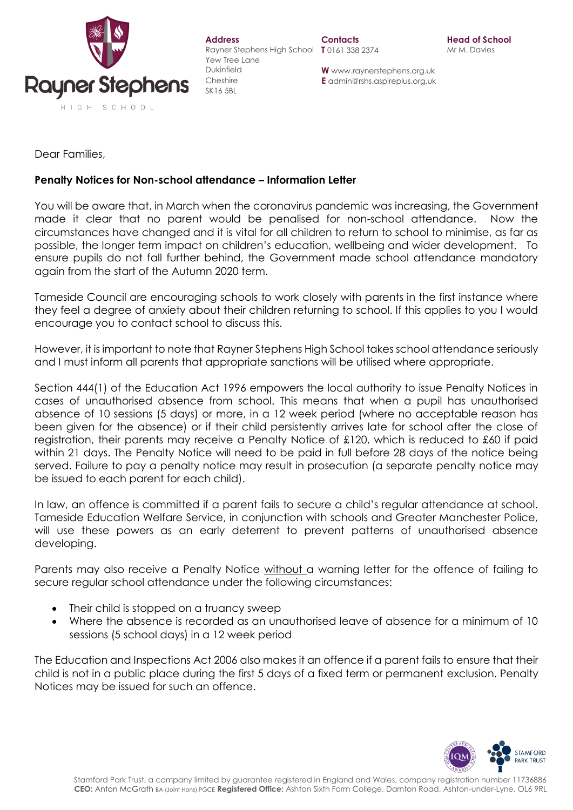

| <b>Address</b><br>Rayner Stephens High School |
|-----------------------------------------------|
| Yew Tree Lane<br>Dukinfield                   |
| Cheshire                                      |
| SK 16.5BL                                     |

**W** www.raynerstephens.org.uk **E** admin@rshs.aspireplus.org.uk

Dear Families,

## **Penalty Notices for Non-school attendance – Information Letter**

You will be aware that, in March when the coronavirus pandemic was increasing, the Government made it clear that no parent would be penalised for non-school attendance. Now the circumstances have changed and it is vital for all children to return to school to minimise, as far as possible, the longer term impact on children's education, wellbeing and wider development. To ensure pupils do not fall further behind, the Government made school attendance mandatory again from the start of the Autumn 2020 term.

Tameside Council are encouraging schools to work closely with parents in the first instance where they feel a degree of anxiety about their children returning to school. If this applies to you I would encourage you to contact school to discuss this.

However, it is important to note that Rayner Stephens High School takes school attendance seriously and I must inform all parents that appropriate sanctions will be utilised where appropriate.

Section 444(1) of the Education Act 1996 empowers the local authority to issue Penalty Notices in cases of unauthorised absence from school. This means that when a pupil has unauthorised absence of 10 sessions (5 days) or more, in a 12 week period (where no acceptable reason has been given for the absence) or if their child persistently arrives late for school after the close of registration, their parents may receive a Penalty Notice of £120, which is reduced to £60 if paid within 21 days. The Penalty Notice will need to be paid in full before 28 days of the notice being served. Failure to pay a penalty notice may result in prosecution (a separate penalty notice may be issued to each parent for each child).

In law, an offence is committed if a parent fails to secure a child's regular attendance at school. Tameside Education Welfare Service, in conjunction with schools and Greater Manchester Police, will use these powers as an early deterrent to prevent patterns of unauthorised absence developing.

Parents may also receive a Penalty Notice without a warning letter for the offence of failing to secure regular school attendance under the following circumstances:

- Their child is stopped on a truancy sweep
- Where the absence is recorded as an unauthorised leave of absence for a minimum of 10 sessions (5 school days) in a 12 week period

The Education and Inspections Act 2006 also makes it an offence if a parent fails to ensure that their child is not in a public place during the first 5 days of a fixed term or permanent exclusion. Penalty Notices may be issued for such an offence.